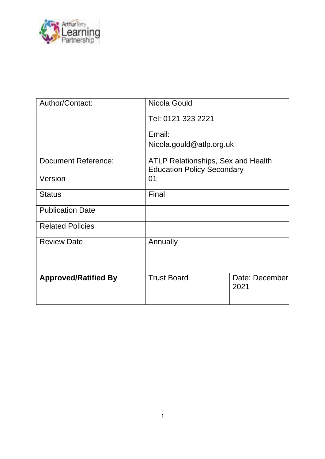

| Author/Contact:             | Nicola Gould                                                                   |                        |
|-----------------------------|--------------------------------------------------------------------------------|------------------------|
|                             | Tel: 0121 323 2221                                                             |                        |
|                             | Email:                                                                         |                        |
|                             | Nicola.gould@atlp.org.uk                                                       |                        |
| <b>Document Reference:</b>  | <b>ATLP Relationships, Sex and Health</b><br><b>Education Policy Secondary</b> |                        |
| Version                     | 01                                                                             |                        |
| <b>Status</b>               | Final                                                                          |                        |
| <b>Publication Date</b>     |                                                                                |                        |
| <b>Related Policies</b>     |                                                                                |                        |
| <b>Review Date</b>          | Annually                                                                       |                        |
|                             |                                                                                |                        |
| <b>Approved/Ratified By</b> | <b>Trust Board</b>                                                             | Date: December<br>2021 |
|                             |                                                                                |                        |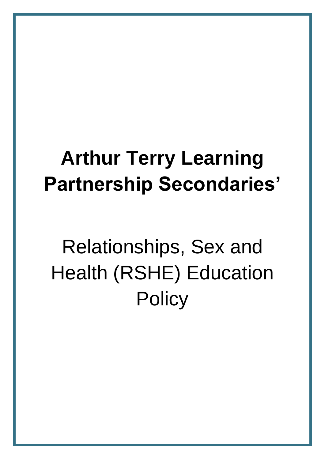## **Arthur Terry Learning Partnership Secondaries'**

# Relationships, Sex and Health (RSHE) Education **Policy**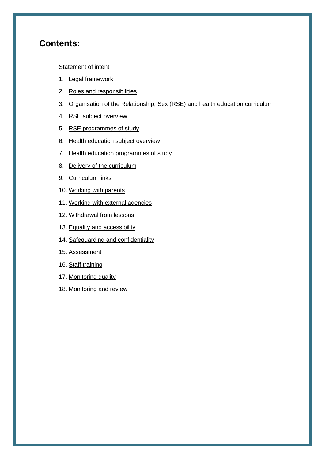## **Contents:**

#### **[Statement of intent](#page-3-0)**

- 1. [Legal framework](#page-4-0)
- 2. [Roles and responsibilities](#page-4-1)
- 3. [Organisation of the Relationship, Sex \(RSE\)](#page-7-0) and health education curriculum
- 4. [RSE subject](#page-8-0) overview
- 5. [RSE programmes of study](#page-11-0)
- 6. [Health education subject](#page-13-0) overview
- 7. [Health education programmes of study](#page-15-0)
- 8. [Delivery of the c](#page-17-0)urriculum
- 9. [Curriculum links](#page-19-0)
- 10. [Working with parents](#page-19-0)
- 11. [Working with external agencies](#page-20-0)
- 12. [Withdrawal from lessons](#page-20-1)
- 13. [Equality and accessibility](#page-21-0)
- 14. [Safeguarding and confidentiality](#page-22-0)
- 15. [Assessment](#page-23-0)
- 16. [Staff training](#page-23-1)
- 17. [Monitoring quality](#page-23-2)
- 18. [Monitoring and review](#page-23-2)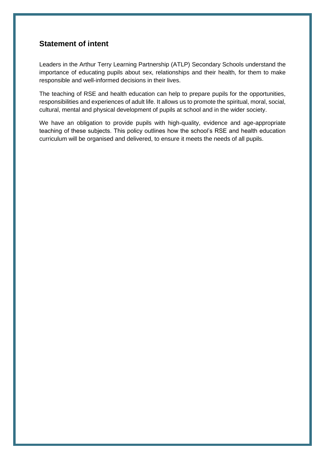## <span id="page-3-0"></span>**Statement of intent**

Leaders in the Arthur Terry Learning Partnership (ATLP) Secondary Schools understand the importance of educating pupils about sex, relationships and their health, for them to make responsible and well-informed decisions in their lives.

The teaching of RSE and health education can help to prepare pupils for the opportunities, responsibilities and experiences of adult life. It allows us to promote the spiritual, moral, social, cultural, mental and physical development of pupils at school and in the wider society.

We have an obligation to provide pupils with high-quality, evidence and age-appropriate teaching of these subjects. This policy outlines how the school's RSE and health education curriculum will be organised and delivered, to ensure it meets the needs of all pupils.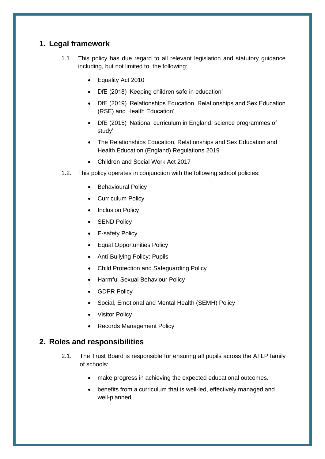## <span id="page-4-0"></span>**1. Legal framework**

- 1.1. This policy has due regard to all relevant legislation and statutory guidance including, but not limited to, the following:
	- Equality Act 2010
	- DfE (2018) 'Keeping children safe in education'
	- DfE (2019) 'Relationships Education, Relationships and Sex Education (RSE) and Health Education'
	- DfE (2015) 'National curriculum in England: science programmes of study'
	- The Relationships Education, Relationships and Sex Education and Health Education (England) Regulations 2019
	- Children and Social Work Act 2017
- 1.2. This policy operates in conjunction with the following school policies:
	- Behavioural Policy
	- Curriculum Policy
	- Inclusion Policy
	- **SEND Policy**
	- E-safety Policy
	- Equal Opportunities Policy
	- Anti-Bullying Policy: Pupils
	- Child Protection and Safeguarding Policy
	- Harmful Sexual Behaviour Policy
	- GDPR Policy
	- Social, Emotional and Mental Health (SEMH) Policy
	- **Visitor Policy**
	- Records Management Policy

## <span id="page-4-1"></span>**2. Roles and responsibilities**

- 2.1. The Trust Board is responsible for ensuring all pupils across the ATLP family of schools:
	- make progress in achieving the expected educational outcomes.
	- benefits from a curriculum that is well-led, effectively managed and well-planned.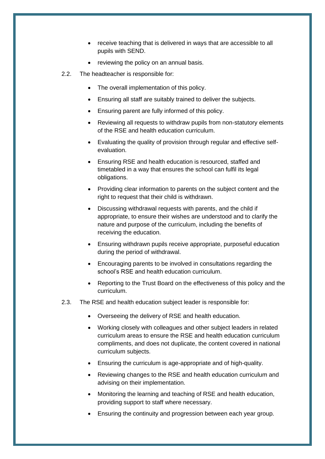- receive teaching that is delivered in ways that are accessible to all pupils with SEND.
- reviewing the policy on an annual basis.
- 2.2. The headteacher is responsible for:
	- The overall implementation of this policy.
	- Ensuring all staff are suitably trained to deliver the subjects.
	- Ensuring parent are fully informed of this policy.
	- Reviewing all requests to withdraw pupils from non-statutory elements of the RSE and health education curriculum.
	- Evaluating the quality of provision through regular and effective selfevaluation.
	- Ensuring RSE and health education is resourced, staffed and timetabled in a way that ensures the school can fulfil its legal obligations.
	- Providing clear information to parents on the subject content and the right to request that their child is withdrawn.
	- Discussing withdrawal requests with parents, and the child if appropriate, to ensure their wishes are understood and to clarify the nature and purpose of the curriculum, including the benefits of receiving the education.
	- Ensuring withdrawn pupils receive appropriate, purposeful education during the period of withdrawal.
	- Encouraging parents to be involved in consultations regarding the school's RSE and health education curriculum.
	- Reporting to the Trust Board on the effectiveness of this policy and the curriculum.
- 2.3. The RSE and health education subject leader is responsible for:
	- Overseeing the delivery of RSE and health education.
	- Working closely with colleagues and other subject leaders in related curriculum areas to ensure the RSE and health education curriculum compliments, and does not duplicate, the content covered in national curriculum subjects.
	- Ensuring the curriculum is age-appropriate and of high-quality.
	- Reviewing changes to the RSE and health education curriculum and advising on their implementation.
	- Monitoring the learning and teaching of RSE and health education, providing support to staff where necessary.
	- Ensuring the continuity and progression between each year group.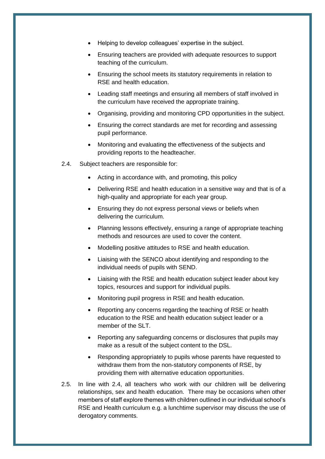- Helping to develop colleagues' expertise in the subject.
- Ensuring teachers are provided with adequate resources to support teaching of the curriculum.
- Ensuring the school meets its statutory requirements in relation to RSE and health education.
- Leading staff meetings and ensuring all members of staff involved in the curriculum have received the appropriate training.
- Organising, providing and monitoring CPD opportunities in the subject.
- Ensuring the correct standards are met for recording and assessing pupil performance.
- Monitoring and evaluating the effectiveness of the subjects and providing reports to the headteacher.
- 2.4. Subject teachers are responsible for:
	- Acting in accordance with, and promoting, this policy
	- Delivering RSE and health education in a sensitive way and that is of a high-quality and appropriate for each year group.
	- Ensuring they do not express personal views or beliefs when delivering the curriculum.
	- Planning lessons effectively, ensuring a range of appropriate teaching methods and resources are used to cover the content.
	- Modelling positive attitudes to RSE and health education.
	- Liaising with the SENCO about identifying and responding to the individual needs of pupils with SEND.
	- Liaising with the RSE and health education subject leader about key topics, resources and support for individual pupils.
	- Monitoring pupil progress in RSE and health education.
	- Reporting any concerns regarding the teaching of RSE or health education to the RSE and health education subject leader or a member of the SLT.
	- Reporting any safeguarding concerns or disclosures that pupils may make as a result of the subject content to the DSL.
	- Responding appropriately to pupils whose parents have requested to withdraw them from the non-statutory components of RSE, by providing them with alternative education opportunities.
- 2.5. In line with 2.4, all teachers who work with our children will be delivering relationships, sex and health education. There may be occasions when other members of staff explore themes with children outlined in our individual school's RSE and Health curriculum e.g. a lunchtime supervisor may discuss the use of derogatory comments.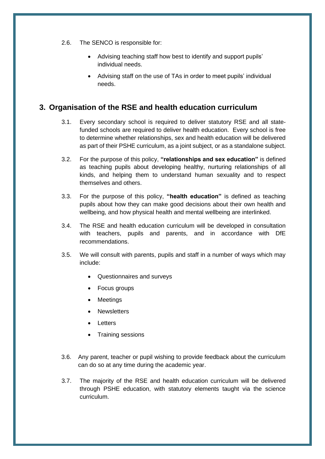- 2.6. The SENCO is responsible for:
	- Advising teaching staff how best to identify and support pupils' individual needs.
	- Advising staff on the use of TAs in order to meet pupils' individual needs.

## <span id="page-7-0"></span>**3. Organisation of the RSE and health education curriculum**

- 3.1. Every secondary school is required to deliver statutory RSE and all statefunded schools are required to deliver health education. Every school is free to determine whether relationships, sex and health education will be delivered as part of their PSHE curriculum, as a joint subject, or as a standalone subject.
- 3.2. For the purpose of this policy, **"relationships and sex education"** is defined as teaching pupils about developing healthy, nurturing relationships of all kinds, and helping them to understand human sexuality and to respect themselves and others.
- 3.3. For the purpose of this policy, **"health education"** is defined as teaching pupils about how they can make good decisions about their own health and wellbeing, and how physical health and mental wellbeing are interlinked.
- 3.4. The RSE and health education curriculum will be developed in consultation with teachers, pupils and parents, and in accordance with DfE recommendations.
- 3.5. We will consult with parents, pupils and staff in a number of ways which may include:
	- Questionnaires and surveys
	- Focus groups
	- **Meetings**
	- **Newsletters**
	- **Letters**
	- Training sessions
- 3.6. Any parent, teacher or pupil wishing to provide feedback about the curriculum can do so at any time during the academic year.
- 3.7. The majority of the RSE and health education curriculum will be delivered through PSHE education, with statutory elements taught via the science curriculum.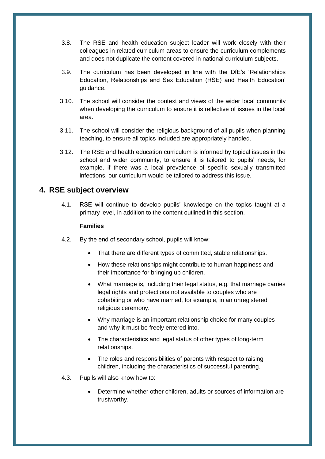- 3.8. The RSE and health education subject leader will work closely with their colleagues in related curriculum areas to ensure the curriculum complements and does not duplicate the content covered in national curriculum subjects.
- 3.9. The curriculum has been developed in line with the DfE's 'Relationships Education, Relationships and Sex Education (RSE) and Health Education' guidance.
- 3.10. The school will consider the context and views of the wider local community when developing the curriculum to ensure it is reflective of issues in the local area.
- 3.11. The school will consider the religious background of all pupils when planning teaching, to ensure all topics included are appropriately handled.
- 3.12. The RSE and health education curriculum is informed by topical issues in the school and wider community, to ensure it is tailored to pupils' needs, for example, if there was a local prevalence of specific sexually transmitted infections, our curriculum would be tailored to address this issue.

## <span id="page-8-0"></span>**4. RSE subject overview**

4.1. RSE will continue to develop pupils' knowledge on the topics taught at a primary level, in addition to the content outlined in this section.

#### **Families**

- 4.2. By the end of secondary school, pupils will know:
	- That there are different types of committed, stable relationships.
	- How these relationships might contribute to human happiness and their importance for bringing up children.
	- What marriage is, including their legal status, e.g. that marriage carries legal rights and protections not available to couples who are cohabiting or who have married, for example, in an unregistered religious ceremony.
	- Why marriage is an important relationship choice for many couples and why it must be freely entered into.
	- The characteristics and legal status of other types of long-term relationships.
	- The roles and responsibilities of parents with respect to raising children, including the characteristics of successful parenting.
- 4.3. Pupils will also know how to:
	- Determine whether other children, adults or sources of information are trustworthy.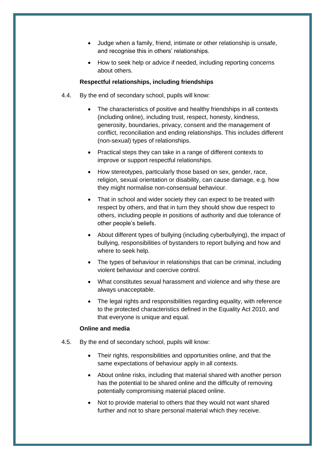- Judge when a family, friend, intimate or other relationship is unsafe, and recognise this in others' relationships.
- How to seek help or advice if needed, including reporting concerns about others.

#### **Respectful relationships, including friendships**

- 4.4. By the end of secondary school, pupils will know:
	- The characteristics of positive and healthy friendships in all contexts (including online), including trust, respect, honesty, kindness, generosity, boundaries, privacy, consent and the management of conflict, reconciliation and ending relationships. This includes different (non-sexual) types of relationships.
	- Practical steps they can take in a range of different contexts to improve or support respectful relationships.
	- How stereotypes, particularly those based on sex, gender, race, religion, sexual orientation or disability, can cause damage, e.g. how they might normalise non-consensual behaviour.
	- That in school and wider society they can expect to be treated with respect by others, and that in turn they should show due respect to others, including people in positions of authority and due tolerance of other people's beliefs.
	- About different types of bullying (including cyberbullying), the impact of bullying, responsibilities of bystanders to report bullying and how and where to seek help.
	- The types of behaviour in relationships that can be criminal, including violent behaviour and coercive control.
	- What constitutes sexual harassment and violence and why these are always unacceptable.
	- The legal rights and responsibilities regarding equality, with reference to the protected characteristics defined in the Equality Act 2010, and that everyone is unique and equal.

#### **Online and media**

- 4.5. By the end of secondary school, pupils will know:
	- Their rights, responsibilities and opportunities online, and that the same expectations of behaviour apply in all contexts.
	- About online risks, including that material shared with another person has the potential to be shared online and the difficulty of removing potentially compromising material placed online.
	- Not to provide material to others that they would not want shared further and not to share personal material which they receive.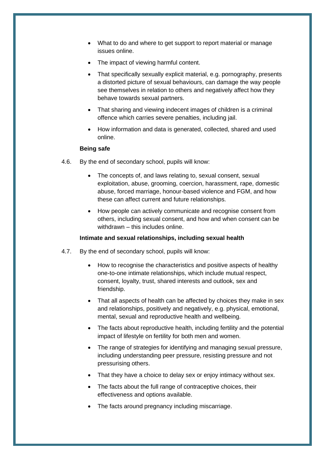- What to do and where to get support to report material or manage issues online.
- The impact of viewing harmful content.
- That specifically sexually explicit material, e.g. pornography, presents a distorted picture of sexual behaviours, can damage the way people see themselves in relation to others and negatively affect how they behave towards sexual partners.
- That sharing and viewing indecent images of children is a criminal offence which carries severe penalties, including jail.
- How information and data is generated, collected, shared and used online.

#### **Being safe**

- 4.6. By the end of secondary school, pupils will know:
	- The concepts of, and laws relating to, sexual consent, sexual exploitation, abuse, grooming, coercion, harassment, rape, domestic abuse, forced marriage, honour-based violence and FGM, and how these can affect current and future relationships.
	- How people can actively communicate and recognise consent from others, including sexual consent, and how and when consent can be withdrawn – this includes online.

#### **Intimate and sexual relationships, including sexual health**

- 4.7. By the end of secondary school, pupils will know:
	- How to recognise the characteristics and positive aspects of healthy one-to-one intimate relationships, which include mutual respect, consent, loyalty, trust, shared interests and outlook, sex and friendship.
	- That all aspects of health can be affected by choices they make in sex and relationships, positively and negatively, e.g. physical, emotional, mental, sexual and reproductive health and wellbeing.
	- The facts about reproductive health, including fertility and the potential impact of lifestyle on fertility for both men and women.
	- The range of strategies for identifying and managing sexual pressure, including understanding peer pressure, resisting pressure and not pressurising others.
	- That they have a choice to delay sex or enjoy intimacy without sex.
	- The facts about the full range of contraceptive choices, their effectiveness and options available.
	- The facts around pregnancy including miscarriage.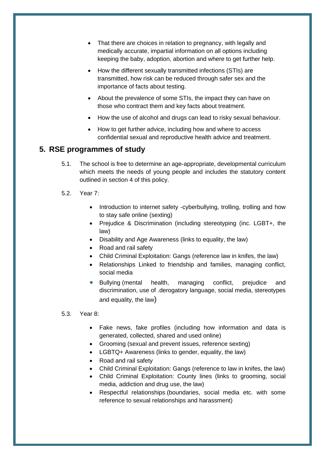- That there are choices in relation to pregnancy, with legally and medically accurate, impartial information on all options including keeping the baby, adoption, abortion and where to get further help.
- How the different sexually transmitted infections (STIs) are transmitted, how risk can be reduced through safer sex and the importance of facts about testing.
- About the prevalence of some STIs, the impact they can have on those who contract them and key facts about treatment.
- How the use of alcohol and drugs can lead to risky sexual behaviour.
- How to get further advice, including how and where to access confidential sexual and reproductive health advice and treatment.

## <span id="page-11-0"></span>**5. RSE programmes of study**

- 5.1. The school is free to determine an age-appropriate, developmental curriculum which meets the needs of young people and includes the statutory content outlined in [section 4](#page-8-0) of this policy.
- 5.2. Year 7:
	- Introduction to internet safety -cyberbullying, trolling, trolling and how to stay safe online (sexting)
	- Prejudice & Discrimination (including stereotyping (inc. LGBT+, the law)
	- Disability and Age Awareness (links to equality, the law)
	- Road and rail safety
	- Child Criminal Exploitation: Gangs (reference law in knifes, the law)
	- Relationships Linked to friendship and families, managing conflict, social media
	- Bullying (mental health, managing conflict, prejudice and discrimination, use of .derogatory language, social media, stereotypes and equality, the law)

#### 5.3. Year 8:

- Fake news, fake profiles (including how information and data is generated, collected, shared and used online)
- Grooming (sexual and prevent issues, reference sexting)
- LGBTQ+ Awareness (links to gender, equality, the law)
- Road and rail safety
- Child Criminal Exploitation: Gangs (reference to law in knifes, the law)
- Child Criminal Exploitation: County lines (links to grooming, social media, addiction and drug use, the law)
- Respectful relationships (boundaries, social media etc. with some reference to sexual relationships and harassment)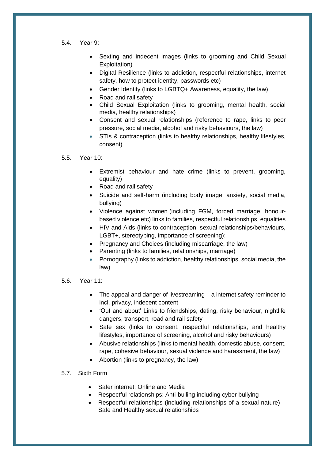- 5.4. Year 9:
	- Sexting and indecent images (links to grooming and Child Sexual Exploitation)
	- Digital Resilience (links to addiction, respectful relationships, internet safety, how to protect identity, passwords etc)
	- Gender Identity (links to LGBTQ+ Awareness, equality, the law)
	- Road and rail safety
	- Child Sexual Exploitation (links to grooming, mental health, social media, healthy relationships)
	- Consent and sexual relationships (reference to rape, links to peer pressure, social media, alcohol and risky behaviours, the law)
	- STIs & contraception (links to healthy relationships, healthy lifestyles, consent)

#### 5.5. Year 10:

- Extremist behaviour and hate crime (links to prevent, grooming, equality)
- Road and rail safety
- Suicide and self-harm (including body image, anxiety, social media, bullying)
- Violence against women (including FGM, forced marriage, honourbased violence etc) links to families, respectful relationships, equalities
- HIV and Aids (links to contraception, sexual relationships/behaviours, LGBT+, stereotyping, importance of screening):
- Pregnancy and Choices (including miscarriage, the law)
- Parenting (links to families, relationships, marriage)
- Pornography (links to addiction, healthy relationships, social media, the law)

#### 5.6. Year 11:

- The appeal and danger of livestreaming a internet safety reminder to incl. privacy, indecent content
- 'Out and about' Links to friendships, dating, risky behaviour, nightlife dangers, transport, road and rail safety
- Safe sex (links to consent, respectful relationships, and healthy lifestyles, importance of screening, alcohol and risky behaviours)
- Abusive relationships (links to mental health, domestic abuse, consent, rape, cohesive behaviour, sexual violence and harassment, the law)
- Abortion (links to pregnancy, the law)

#### 5.7. Sixth Form

- Safer internet: Online and Media
- Respectful relationships: Anti-bulling including cyber bullying
- Respectful relationships (including relationships of a sexual nature) Safe and Healthy sexual relationships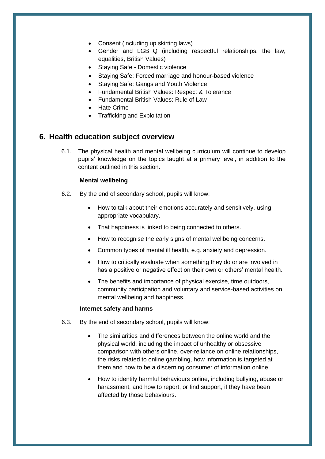- Consent (including up skirting laws)
- Gender and LGBTQ (including respectful relationships, the law, equalities, British Values)
- Staying Safe Domestic violence
- Staying Safe: Forced marriage and honour-based violence
- Staying Safe: Gangs and Youth Violence
- Fundamental British Values: Respect & Tolerance
- Fundamental British Values: Rule of Law
- Hate Crime
- Trafficking and Exploitation

## <span id="page-13-0"></span>**6. Health education subject overview**

6.1. The physical health and mental wellbeing curriculum will continue to develop pupils' knowledge on the topics taught at a primary level, in addition to the content outlined in this section.

#### **Mental wellbeing**

- 6.2. By the end of secondary school, pupils will know:
	- How to talk about their emotions accurately and sensitively, using appropriate vocabulary.
	- That happiness is linked to being connected to others.
	- How to recognise the early signs of mental wellbeing concerns.
	- Common types of mental ill health, e.g. anxiety and depression.
	- How to critically evaluate when something they do or are involved in has a positive or negative effect on their own or others' mental health.
	- The benefits and importance of physical exercise, time outdoors, community participation and voluntary and service-based activities on mental wellbeing and happiness.

#### **Internet safety and harms**

- 6.3. By the end of secondary school, pupils will know:
	- The similarities and differences between the online world and the physical world, including the impact of unhealthy or obsessive comparison with others online, over-reliance on online relationships, the risks related to online gambling, how information is targeted at them and how to be a discerning consumer of information online.
	- How to identify harmful behaviours online, including bullying, abuse or harassment, and how to report, or find support, if they have been affected by those behaviours.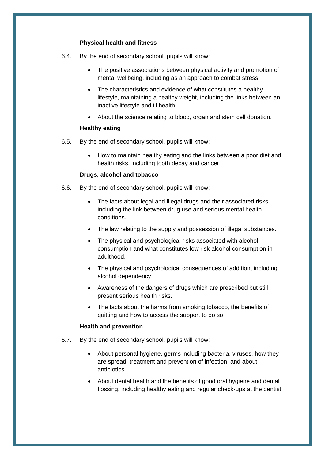#### **Physical health and fitness**

- 6.4. By the end of secondary school, pupils will know:
	- The positive associations between physical activity and promotion of mental wellbeing, including as an approach to combat stress.
	- The characteristics and evidence of what constitutes a healthy lifestyle, maintaining a healthy weight, including the links between an inactive lifestyle and ill health.
	- About the science relating to blood, organ and stem cell donation.

#### **Healthy eating**

- 6.5. By the end of secondary school, pupils will know:
	- How to maintain healthy eating and the links between a poor diet and health risks, including tooth decay and cancer.

#### **Drugs, alcohol and tobacco**

- 6.6. By the end of secondary school, pupils will know:
	- The facts about legal and illegal drugs and their associated risks, including the link between drug use and serious mental health conditions.
	- The law relating to the supply and possession of illegal substances.
	- The physical and psychological risks associated with alcohol consumption and what constitutes low risk alcohol consumption in adulthood.
	- The physical and psychological consequences of addition, including alcohol dependency.
	- Awareness of the dangers of drugs which are prescribed but still present serious health risks.
	- The facts about the harms from smoking tobacco, the benefits of quitting and how to access the support to do so.

#### **Health and prevention**

- 6.7. By the end of secondary school, pupils will know:
	- About personal hygiene, germs including bacteria, viruses, how they are spread, treatment and prevention of infection, and about antibiotics.
	- About dental health and the benefits of good oral hygiene and dental flossing, including healthy eating and regular check-ups at the dentist.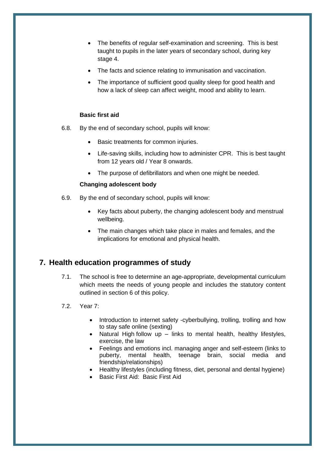- The benefits of regular self-examination and screening. This is best taught to pupils in the later years of secondary school, during key stage 4.
- The facts and science relating to immunisation and vaccination.
- The importance of sufficient good quality sleep for good health and how a lack of sleep can affect weight, mood and ability to learn.

#### **Basic first aid**

- 6.8. By the end of secondary school, pupils will know:
	- Basic treatments for common injuries.
	- Life-saving skills, including how to administer CPR. This is best taught from 12 years old / Year 8 onwards.
	- The purpose of defibrillators and when one might be needed.

#### **Changing adolescent body**

- 6.9. By the end of secondary school, pupils will know:
	- Key facts about puberty, the changing adolescent body and menstrual wellbeing.
	- The main changes which take place in males and females, and the implications for emotional and physical health.

## <span id="page-15-0"></span>**7. Health education programmes of study**

7.1. The school is free to determine an age-appropriate, developmental curriculum which meets the needs of young people and includes the statutory content outlined in [section 6](#page-13-0) of this policy.

#### 7.2. Year 7:

- Introduction to internet safety -cyberbullying, trolling, trolling and how to stay safe online (sexting)
- Natural High follow up links to mental health, healthy lifestyles, exercise, the law
- Feelings and emotions incl. managing anger and self-esteem (links to puberty, mental health, teenage brain, social media and friendship/relationships)
- Healthy lifestyles (including fitness, diet, personal and dental hygiene)
- Basic First Aid: Basic First Aid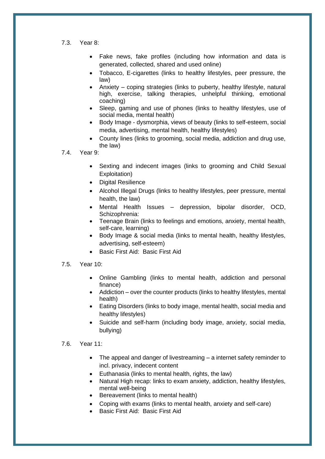- 7.3. Year 8:
	- Fake news, fake profiles (including how information and data is generated, collected, shared and used online)
	- Tobacco, E-cigarettes (links to healthy lifestyles, peer pressure, the law)
	- Anxiety coping strategies (links to puberty, healthy lifestyle, natural high, exercise, talking therapies, unhelpful thinking, emotional coaching)
	- Sleep, gaming and use of phones (links to healthy lifestyles, use of social media, mental health)
	- Body Image dysmorphia, views of beauty (links to self-esteem, social media, advertising, mental health, healthy lifestyles)
	- County lines (links to grooming, social media, addiction and drug use, the law)
- 7.4. Year 9:
	- Sexting and indecent images (links to grooming and Child Sexual Exploitation)
	- Digital Resilience
	- Alcohol Illegal Drugs (links to healthy lifestyles, peer pressure, mental health, the law)
	- Mental Health Issues depression, bipolar disorder, OCD, Schizophrenia:
	- Teenage Brain (links to feelings and emotions, anxiety, mental health, self-care, learning)
	- Body Image & social media (links to mental health, healthy lifestyles, advertising, self-esteem)
	- Basic First Aid: Basic First Aid
- 7.5. Year 10:
	- Online Gambling (links to mental health, addiction and personal finance)
	- Addiction over the counter products (links to healthy lifestyles, mental health)
	- Eating Disorders (links to body image, mental health, social media and healthy lifestyles)
	- Suicide and self-harm (including body image, anxiety, social media, bullying)

#### 7.6. Year 11:

- The appeal and danger of livestreaming a internet safety reminder to incl. privacy, indecent content
- Euthanasia (links to mental health, rights, the law)
- Natural High recap: links to exam anxiety, addiction, healthy lifestyles, mental well-being
- Bereavement (links to mental health)
- Coping with exams (links to mental health, anxiety and self-care)
- Basic First Aid: Basic First Aid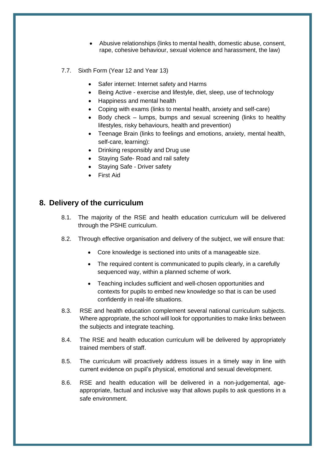- Abusive relationships (links to mental health, domestic abuse, consent, rape, cohesive behaviour, sexual violence and harassment, the law)
- 7.7. Sixth Form (Year 12 and Year 13)
	- Safer internet: Internet safety and Harms
	- Being Active exercise and lifestyle, diet, sleep, use of technology
	- Happiness and mental health
	- Coping with exams (links to mental health, anxiety and self-care)
	- Body check lumps, bumps and sexual screening (links to healthy lifestyles, risky behaviours, health and prevention)
	- Teenage Brain (links to feelings and emotions, anxiety, mental health, self-care, learning):
	- Drinking responsibly and Drug use
	- Staying Safe- Road and rail safety
	- Staying Safe Driver safety
	- First Aid

## <span id="page-17-0"></span>**8. Delivery of the curriculum**

- 8.1. The majority of the RSE and health education curriculum will be delivered through the PSHE curriculum.
- 8.2. Through effective organisation and delivery of the subject, we will ensure that:
	- Core knowledge is sectioned into units of a manageable size.
	- The required content is communicated to pupils clearly, in a carefully sequenced way, within a planned scheme of work.
	- Teaching includes sufficient and well-chosen opportunities and contexts for pupils to embed new knowledge so that is can be used confidently in real-life situations.
- 8.3. RSE and health education complement several national curriculum subjects. Where appropriate, the school will look for opportunities to make links between the subjects and integrate teaching.
- 8.4. The RSE and health education curriculum will be delivered by appropriately trained members of staff.
- 8.5. The curriculum will proactively address issues in a timely way in line with current evidence on pupil's physical, emotional and sexual development.
- 8.6. RSE and health education will be delivered in a non-judgemental, ageappropriate, factual and inclusive way that allows pupils to ask questions in a safe environment.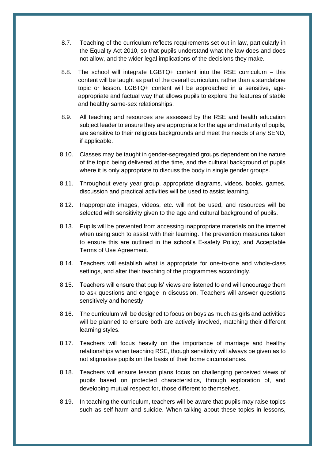- 8.7. Teaching of the curriculum reflects requirements set out in law, particularly in the Equality Act 2010, so that pupils understand what the law does and does not allow, and the wider legal implications of the decisions they make.
- 8.8. The school will integrate LGBTQ+ content into the RSE curriculum this content will be taught as part of the overall curriculum, rather than a standalone topic or lesson. LGBTQ+ content will be approached in a sensitive, ageappropriate and factual way that allows pupils to explore the features of stable and healthy same-sex relationships.
- 8.9. All teaching and resources are assessed by the RSE and health education subject leader to ensure they are appropriate for the age and maturity of pupils, are sensitive to their religious backgrounds and meet the needs of any SEND, if applicable.
- 8.10. Classes may be taught in gender-segregated groups dependent on the nature of the topic being delivered at the time, and the cultural background of pupils where it is only appropriate to discuss the body in single gender groups.
- 8.11. Throughout every year group, appropriate diagrams, videos, books, games, discussion and practical activities will be used to assist learning.
- 8.12. Inappropriate images, videos, etc. will not be used, and resources will be selected with sensitivity given to the age and cultural background of pupils.
- 8.13. Pupils will be prevented from accessing inappropriate materials on the internet when using such to assist with their learning. The prevention measures taken to ensure this are outlined in the school's E-safety Policy, and Acceptable Terms of Use Agreement.
- 8.14. Teachers will establish what is appropriate for one-to-one and whole-class settings, and alter their teaching of the programmes accordingly.
- 8.15. Teachers will ensure that pupils' views are listened to and will encourage them to ask questions and engage in discussion. Teachers will answer questions sensitively and honestly.
- 8.16. The curriculum will be designed to focus on boys as much as girls and activities will be planned to ensure both are actively involved, matching their different learning styles.
- 8.17. Teachers will focus heavily on the importance of marriage and healthy relationships when teaching RSE, though sensitivity will always be given as to not stigmatise pupils on the basis of their home circumstances.
- 8.18. Teachers will ensure lesson plans focus on challenging perceived views of pupils based on protected characteristics, through exploration of, and developing mutual respect for, those different to themselves.
- 8.19. In teaching the curriculum, teachers will be aware that pupils may raise topics such as self-harm and suicide. When talking about these topics in lessons,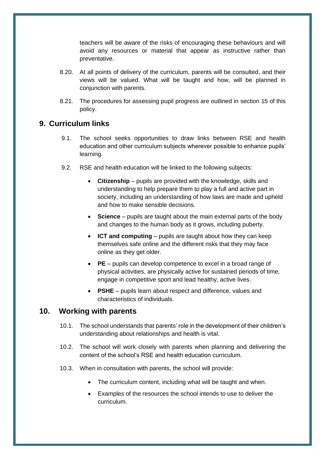teachers will be aware of the risks of encouraging these behaviours and will avoid any resources or material that appear as instructive rather than preventative.

- 8.20. At all points of delivery of the curriculum, parents will be consulted, and their views will be valued. What will be taught and how, will be planned in conjunction with parents.
- 8.21. The procedures for assessing pupil progress are outlined in [section 15](#page-23-0) of this policy.

## <span id="page-19-0"></span>**9. Curriculum links**

- 9.1. The school seeks opportunities to draw links between RSE and health education and other curriculum subjects wherever possible to enhance pupils' learning.
- 9.2. RSE and health education will be linked to the following subjects:
	- **Citizenship** pupils are provided with the knowledge, skills and understanding to help prepare them to play a full and active part in society, including an understanding of how laws are made and upheld and how to make sensible decisions.
	- **Science** pupils are taught about the main external parts of the body and changes to the human body as it grows, including puberty.
	- **ICT and computing** pupils are taught about how they can keep themselves safe online and the different risks that they may face online as they get older.
	- **PE** pupils can develop competence to excel in a broad range of physical activities, are physically active for sustained periods of time, engage in competitive sport and lead healthy, active lives.
	- **PSHE** pupils learn about respect and difference, values and characteristics of individuals.

## **10. Working with parents**

- 10.1. The school understands that parents' role in the development of their children's understanding about relationships and health is vital.
- 10.2. The school will work closely with parents when planning and delivering the content of the school's RSE and health education curriculum.
- 10.3. When in consultation with parents, the school will provide:
	- The curriculum content, including what will be taught and when.
	- Examples of the resources the school intends to use to deliver the curriculum.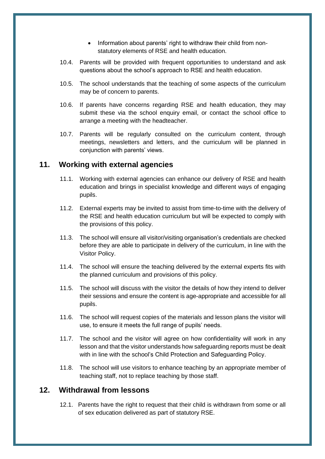- Information about parents' right to withdraw their child from nonstatutory elements of RSE and health education.
- 10.4. Parents will be provided with frequent opportunities to understand and ask questions about the school's approach to RSE and health education.
- 10.5. The school understands that the teaching of some aspects of the curriculum may be of concern to parents.
- 10.6. If parents have concerns regarding RSE and health education, they may submit these via the school enquiry email, or contact the school office to arrange a meeting with the headteacher.
- 10.7. Parents will be regularly consulted on the curriculum content, through meetings, newsletters and letters, and the curriculum will be planned in conjunction with parents' views.

## <span id="page-20-0"></span>**11. Working with external agencies**

- 11.1. Working with external agencies can enhance our delivery of RSE and health education and brings in specialist knowledge and different ways of engaging pupils.
- 11.2. External experts may be invited to assist from time-to-time with the delivery of the RSE and health education curriculum but will be expected to comply with the provisions of this policy.
- 11.3. The school will ensure all visitor/visiting organisation's credentials are checked before they are able to participate in delivery of the curriculum, in line with the Visitor Policy.
- 11.4. The school will ensure the teaching delivered by the external experts fits with the planned curriculum and provisions of this policy.
- 11.5. The school will discuss with the visitor the details of how they intend to deliver their sessions and ensure the content is age-appropriate and accessible for all pupils.
- 11.6. The school will request copies of the materials and lesson plans the visitor will use, to ensure it meets the full range of pupils' needs.
- 11.7. The school and the visitor will agree on how confidentiality will work in any lesson and that the visitor understands how safeguarding reports must be dealt with in line with the school's Child Protection and Safeguarding Policy.
- 11.8. The school will use visitors to enhance teaching by an appropriate member of teaching staff, not to replace teaching by those staff.

## <span id="page-20-1"></span>**12. Withdrawal from lessons**

12.1. Parents have the right to request that their child is withdrawn from some or all of sex education delivered as part of statutory RSE.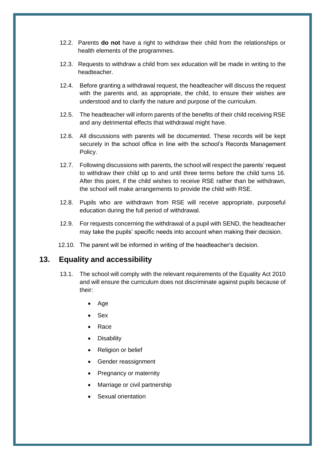- 12.2. Parents **do not** have a right to withdraw their child from the relationships or health elements of the programmes.
- 12.3. Requests to withdraw a child from sex education will be made in writing to the headteacher.
- 12.4. Before granting a withdrawal request, the headteacher will discuss the request with the parents and, as appropriate, the child, to ensure their wishes are understood and to clarify the nature and purpose of the curriculum.
- 12.5. The headteacher will inform parents of the benefits of their child receiving RSE and any detrimental effects that withdrawal might have.
- 12.6. All discussions with parents will be documented. These records will be kept securely in the school office in line with the school's Records Management Policy.
- 12.7. Following discussions with parents, the school will respect the parents' request to withdraw their child up to and until three terms before the child turns 16. After this point, if the child wishes to receive RSE rather than be withdrawn, the school will make arrangements to provide the child with RSE.
- 12.8. Pupils who are withdrawn from RSE will receive appropriate, purposeful education during the full period of withdrawal.
- 12.9. For requests concerning the withdrawal of a pupil with SEND, the headteacher may take the pupils' specific needs into account when making their decision.
- 12.10. The parent will be informed in writing of the headteacher's decision.

## <span id="page-21-0"></span>**13. Equality and accessibility**

- 13.1. The school will comply with the relevant requirements of the Equality Act 2010 and will ensure the curriculum does not discriminate against pupils because of their:
	- Age
	- Sex
	- Race
	- **Disability**
	- Religion or belief
	- Gender reassignment
	- Pregnancy or maternity
	- Marriage or civil partnership
	- Sexual orientation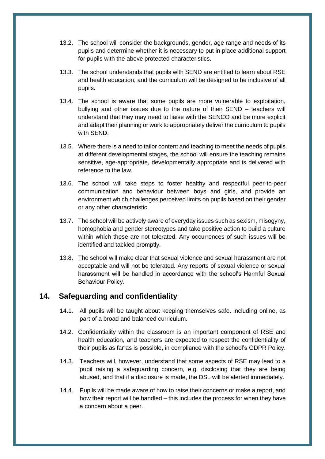- 13.2. The school will consider the backgrounds, gender, age range and needs of its pupils and determine whether it is necessary to put in place additional support for pupils with the above protected characteristics.
- 13.3. The school understands that pupils with SEND are entitled to learn about RSE and health education, and the curriculum will be designed to be inclusive of all pupils.
- 13.4. The school is aware that some pupils are more vulnerable to exploitation, bullying and other issues due to the nature of their SEND – teachers will understand that they may need to liaise with the SENCO and be more explicit and adapt their planning or work to appropriately deliver the curriculum to pupils with SEND.
- 13.5. Where there is a need to tailor content and teaching to meet the needs of pupils at different developmental stages, the school will ensure the teaching remains sensitive, age-appropriate, developmentally appropriate and is delivered with reference to the law.
- 13.6. The school will take steps to foster healthy and respectful peer-to-peer communication and behaviour between boys and girls, and provide an environment which challenges perceived limits on pupils based on their gender or any other characteristic.
- 13.7. The school will be actively aware of everyday issues such as sexism, misogyny, homophobia and gender stereotypes and take positive action to build a culture within which these are not tolerated. Any occurrences of such issues will be identified and tackled promptly.
- 13.8. The school will make clear that sexual violence and sexual harassment are not acceptable and will not be tolerated. Any reports of sexual violence or sexual harassment will be handled in accordance with the school's Harmful Sexual Behaviour Policy.

## <span id="page-22-0"></span>**14. Safeguarding and confidentiality**

- 14.1. All pupils will be taught about keeping themselves safe, including online, as part of a broad and balanced curriculum.
- 14.2. Confidentiality within the classroom is an important component of RSE and health education, and teachers are expected to respect the confidentiality of their pupils as far as is possible, in compliance with the school's GDPR Policy.
- 14.3. Teachers will, however, understand that some aspects of RSE may lead to a pupil raising a safeguarding concern, e.g. disclosing that they are being abused, and that if a disclosure is made, the DSL will be alerted immediately.
- 14.4. Pupils will be made aware of how to raise their concerns or make a report, and how their report will be handled – this includes the process for when they have a concern about a peer.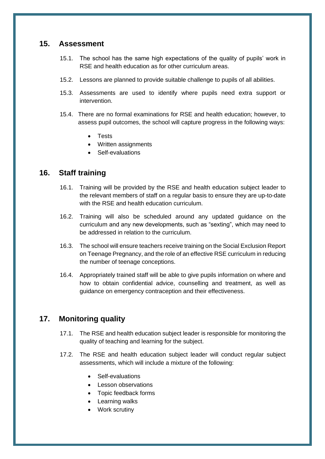## <span id="page-23-0"></span>**15. Assessment**

- 15.1. The school has the same high expectations of the quality of pupils' work in RSE and health education as for other curriculum areas.
- 15.2. Lessons are planned to provide suitable challenge to pupils of all abilities.
- 15.3. Assessments are used to identify where pupils need extra support or intervention.
- 15.4. There are no formal examinations for RSE and health education; however, to assess pupil outcomes, the school will capture progress in the following ways:
	- Tests
	- Written assignments
	- Self-evaluations

## <span id="page-23-1"></span>**16. Staff training**

- 16.1. Training will be provided by the RSE and health education subject leader to the relevant members of staff on a regular basis to ensure they are up-to-date with the RSE and health education curriculum.
- 16.2. Training will also be scheduled around any updated guidance on the curriculum and any new developments, such as "sexting", which may need to be addressed in relation to the curriculum.
- 16.3. The school will ensure teachers receive training on the Social Exclusion Report on Teenage Pregnancy, and the role of an effective RSE curriculum in reducing the number of teenage conceptions.
- 16.4. Appropriately trained staff will be able to give pupils information on where and how to obtain confidential advice, counselling and treatment, as well as guidance on emergency contraception and their effectiveness.

## <span id="page-23-2"></span>**17. Monitoring quality**

- 17.1. The RSE and health education subject leader is responsible for monitoring the quality of teaching and learning for the subject.
- 17.2. The RSE and health education subject leader will conduct regular subject assessments, which will include a mixture of the following:
	- Self-evaluations
	- Lesson observations
	- Topic feedback forms
	- Learning walks
	- Work scrutiny